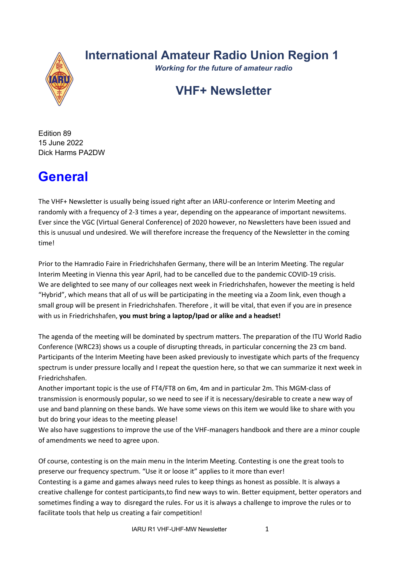### **International Amateur Radio Union Region 1**



*Working for the future of amateur radio*

## **VHF+ Newsletter**

Edition 89 15 June 2022 Dick Harms PA2DW

# **General**

The VHF+ Newsletter is usually being issued right after an IARU-conference or Interim Meeting and randomly with a frequency of 2-3 times a year, depending on the appearance of important newsitems. Ever since the VGC (Virtual General Conference) of 2020 however, no Newsletters have been issued and this is unusual und undesired. We will therefore increase the frequency of the Newsletter in the coming time!

Prior to the Hamradio Faire in Friedrichshafen Germany, there will be an Interim Meeting. The regular Interim Meeting in Vienna this year April, had to be cancelled due to the pandemic COVID-19 crisis. We are delighted to see many of our colleages next week in Friedrichshafen, however the meeting is held "Hybrid", which means that all of us will be participating in the meeting via a Zoom link, even though a small group will be present in Friedrichshafen. Therefore , it will be vital, that even if you are in presence with us in Friedrichshafen, **you must bring a laptop/Ipad or alike and a headset!**

The agenda of the meeting will be dominated by spectrum matters. The preparation of the ITU World Radio Conference (WRC23) shows us a couple of disrupting threads, in particular concerning the 23 cm band. Participants of the Interim Meeting have been asked previously to investigate which parts of the frequency spectrum is under pressure locally and I repeat the question here, so that we can summarize it next week in Friedrichshafen.

Another important topic is the use of FT4/FT8 on 6m, 4m and in particular 2m. This MGM-class of transmission is enormously popular, so we need to see if it is necessary/desirable to create a new way of use and band planning on these bands. We have some views on this item we would like to share with you but do bring your ideas to the meeting please!

We also have suggestions to improve the use of the VHF-managers handbook and there are a minor couple of amendments we need to agree upon.

Of course, contesting is on the main menu in the Interim Meeting. Contesting is one the great tools to preserve our frequency spectrum. "Use it or loose it" applies to it more than ever! Contesting is a game and games always need rules to keep things as honest as possible. It is always a creative challenge for contest participants,to find new ways to win. Better equipment, better operators and sometimes finding a way to disregard the rules. For us it is always a challenge to improve the rules or to facilitate tools that help us creating a fair competition!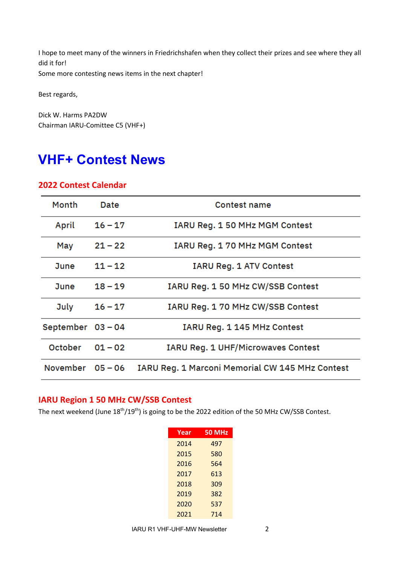I hope to meet many of the winners in Friedrichshafen when they collect their prizes and see where they all did it for! Some more contesting news items in the next chapter!

Best regards,

Dick W. Harms PA2DW Chairman IARU-Comittee C5 (VHF+)

### **VHF+ Contest News**

#### **2022 Contest Calendar**

| Month              | Date      | <b>Contest name</b>                             |
|--------------------|-----------|-------------------------------------------------|
| April              | $16 - 17$ | IARU Reg. 1 50 MHz MGM Contest                  |
| May                | $21 - 22$ | IARU Reg. 1 70 MHz MGM Contest                  |
| June               | $11 - 12$ | IARU Reg. 1 ATV Contest                         |
| June               | $18 - 19$ | IARU Reg. 1 50 MHz CW/SSB Contest               |
| July               | $16 - 17$ | IARU Reg. 1 70 MHz CW/SSB Contest               |
| September 03-04    |           | IARU Reg. 1 145 MHz Contest                     |
| October            | $01 - 02$ | IARU Reg. 1 UHF/Microwaves Contest              |
| November $05 - 06$ |           | IARU Reg. 1 Marconi Memorial CW 145 MHz Contest |

#### **IARU Region 1 50 MHz CW/SSB Contest**

The next weekend (June 18<sup>th</sup>/19<sup>th</sup>) is going to be the 2022 edition of the 50 MHz CW/SSB Contest.

| Year | 50 MHz |
|------|--------|
| 2014 | 497    |
| 2015 | 580    |
| 2016 | 564    |
| 2017 | 613    |
| 2018 | 309    |
| 2019 | 382    |
| 2020 | 537    |
| 2021 | 714    |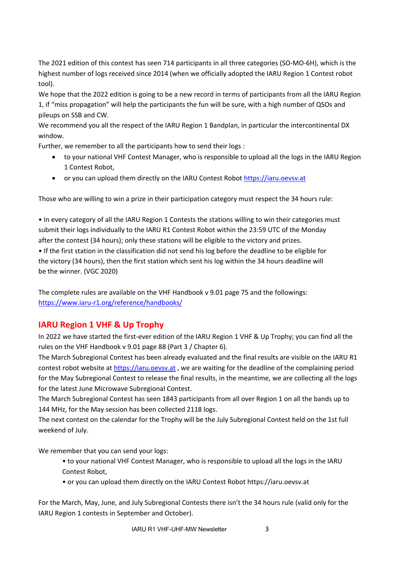The 2021 edition of this contest has seen 714 participants in all three categories (SO-MO-6H), which is the highest number of logs received since 2014 (when we officially adopted the IARU Region 1 Contest robot tool).

We hope that the 2022 edition is going to be a new record in terms of participants from all the IARU Region 1, if "miss propagation" will help the participants the fun will be sure, with a high number of QSOs and pileups on SSB and CW.

We recommend you all the respect of the IARU Region 1 Bandplan, in particular the intercontinental DX window.

Further, we remember to all the participants how to send their logs :

- to your national VHF Contest Manager, who is responsible to upload all the logs in the IARU Region 1 Contest Robot,
- or you can upload them directly on the IARU Contest Robot https://iaru.oevsv.at

Those who are willing to win a prize in their participation category must respect the 34 hours rule:

• In every category of all the IARU Region 1 Contests the stations willing to win their categories must submit their logs individually to the IARU R1 Contest Robot within the 23:59 UTC of the Monday after the contest (34 hours); only these stations will be eligible to the victory and prizes.

• If the first station in the classification did not send his log before the deadline to be eligible for the victory (34 hours), then the first station which sent his log within the 34 hours deadline will be the winner. (VGC 2020)

The complete rules are available on the VHF Handbook v 9.01 page 75 and the followings: https://www.iaru-r1.org/reference/handbooks/

#### **IARU Region 1 VHF & Up Trophy**

In 2022 we have started the first-ever edition of the IARU Region 1 VHF & Up Trophy; you can find all the rules on the VHF Handbook v 9.01 page 88 (Part 3 / Chapter 6).

The March Subregional Contest has been already evaluated and the final results are visible on the IARU R1 contest robot website at https://iaru.oevsv.at, we are waiting for the deadline of the complaining period for the May Subregional Contest to release the final results, in the meantime, we are collecting all the logs for the latest June Microwave Subregional Contest.

The March Subregional Contest has seen 1843 participants from all over Region 1 on all the bands up to 144 MHz, for the May session has been collected 2118 logs.

The next contest on the calendar for the Trophy will be the July Subregional Contest held on the 1st full weekend of July.

We remember that you can send your logs:

- to your national VHF Contest Manager, who is responsible to upload all the logs in the IARU Contest Robot,
- or you can upload them directly on the IARU Contest Robot https://iaru.oevsv.at

For the March, May, June, and July Subregional Contests there isn't the 34 hours rule (valid only for the IARU Region 1 contests in September and October).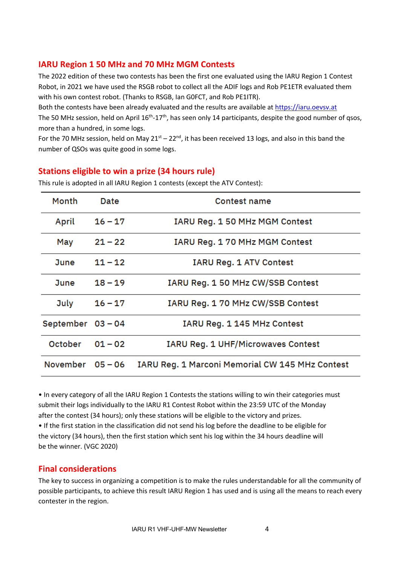#### **IARU Region 1 50 MHz and 70 MHz MGM Contests**

The 2022 edition of these two contests has been the first one evaluated using the IARU Region 1 Contest Robot, in 2021 we have used the RSGB robot to collect all the ADIF logs and Rob PE1ETR evaluated them with his own contest robot. (Thanks to RSGB, Ian G0FCT, and Rob PE1ITR).

Both the contests have been already evaluated and the results are available at https://iaru.oevsv.at The 50 MHz session, held on April 16<sup>th</sup>-17<sup>th</sup>, has seen only 14 participants, despite the good number of qsos, more than a hundred, in some logs.

For the 70 MHz session, held on May  $21^{st} - 22^{nd}$ , it has been received 13 logs, and also in this band the number of QSOs was quite good in some logs.

#### **Stations eligible to win a prize (34 hours rule)**

| Month            | Date      | <b>Contest name</b>                             |
|------------------|-----------|-------------------------------------------------|
| April            | $16 - 17$ | IARU Reg. 1 50 MHz MGM Contest                  |
| May              | $21 - 22$ | IARU Reg. 170 MHz MGM Contest                   |
| June             | $11 - 12$ | IARU Reg. 1 ATV Contest                         |
| June             | $18 - 19$ | IARU Reg. 1 50 MHz CW/SSB Contest               |
| July             | $16 - 17$ | IARU Reg. 1 70 MHz CW/SSB Contest               |
| September 03-04  |           | IARU Reg. 1 145 MHz Contest                     |
| October          | $01 - 02$ | IARU Reg. 1 UHF/Microwaves Contest              |
| November $05-06$ |           | IARU Reg. 1 Marconi Memorial CW 145 MHz Contest |

This rule is adopted in all IARU Region 1 contests (except the ATV Contest):

• In every category of all the IARU Region 1 Contests the stations willing to win their categories must submit their logs individually to the IARU R1 Contest Robot within the 23:59 UTC of the Monday after the contest (34 hours); only these stations will be eligible to the victory and prizes. • If the first station in the classification did not send his log before the deadline to be eligible for the victory (34 hours), then the first station which sent his log within the 34 hours deadline will be the winner. (VGC 2020)

#### **Final considerations**

The key to success in organizing a competition is to make the rules understandable for all the community of possible participants, to achieve this result IARU Region 1 has used and is using all the means to reach every contester in the region.